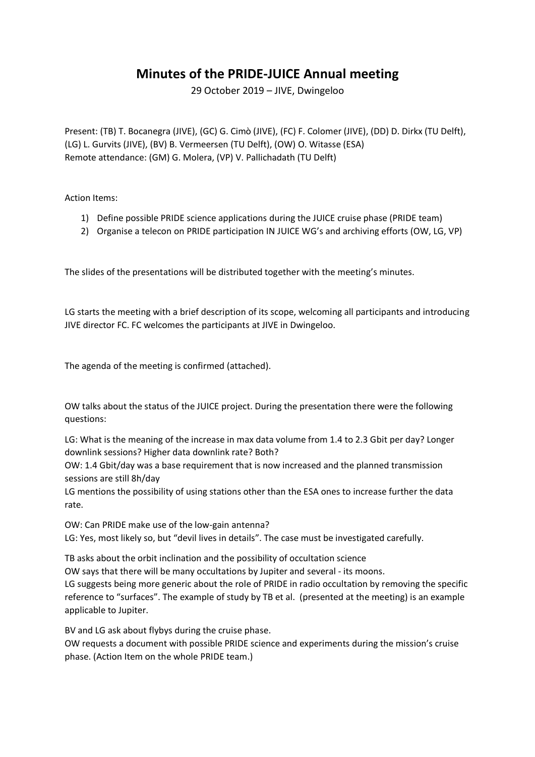## **Minutes of the PRIDE-JUICE Annual meeting**

29 October 2019 – JIVE, Dwingeloo

Present: (TB) T. Bocanegra (JIVE), (GC) G. Cimò (JIVE), (FC) F. Colomer (JIVE), (DD) D. Dirkx (TU Delft), (LG) L. Gurvits (JIVE), (BV) B. Vermeersen (TU Delft), (OW) O. Witasse (ESA) Remote attendance: (GM) G. Molera, (VP) V. Pallichadath (TU Delft)

Action Items:

- 1) Define possible PRIDE science applications during the JUICE cruise phase (PRIDE team)
- 2) Organise a telecon on PRIDE participation IN JUICE WG's and archiving efforts (OW, LG, VP)

The slides of the presentations will be distributed together with the meeting's minutes.

LG starts the meeting with a brief description of its scope, welcoming all participants and introducing JIVE director FC. FC welcomes the participants at JIVE in Dwingeloo.

The agenda of the meeting is confirmed (attached).

OW talks about the status of the JUICE project. During the presentation there were the following questions:

LG: What is the meaning of the increase in max data volume from 1.4 to 2.3 Gbit per day? Longer downlink sessions? Higher data downlink rate? Both?

OW: 1.4 Gbit/day was a base requirement that is now increased and the planned transmission sessions are still 8h/day

LG mentions the possibility of using stations other than the ESA ones to increase further the data rate.

OW: Can PRIDE make use of the low-gain antenna? LG: Yes, most likely so, but "devil lives in details". The case must be investigated carefully.

TB asks about the orbit inclination and the possibility of occultation science

OW says that there will be many occultations by Jupiter and several - its moons.

LG suggests being more generic about the role of PRIDE in radio occultation by removing the specific reference to "surfaces". The example of study by TB et al. (presented at the meeting) is an example applicable to Jupiter.

BV and LG ask about flybys during the cruise phase. OW requests a document with possible PRIDE science and experiments during the mission's cruise phase. (Action Item on the whole PRIDE team.)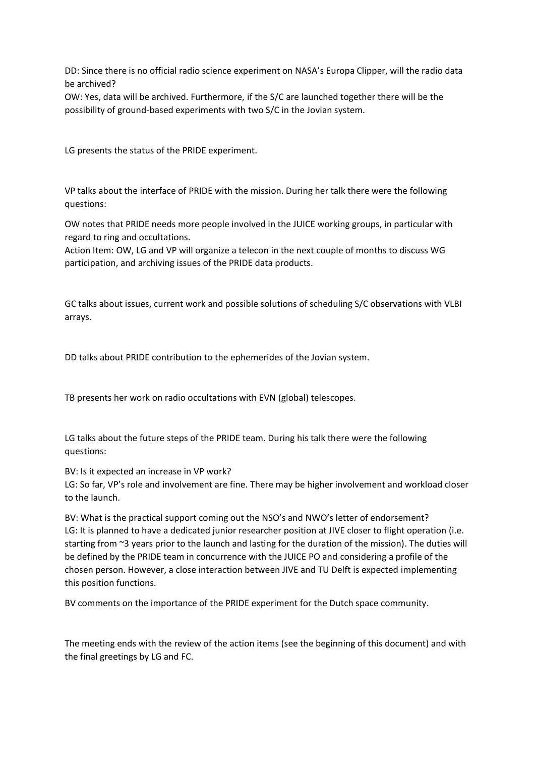DD: Since there is no official radio science experiment on NASA's Europa Clipper, will the radio data be archived?

OW: Yes, data will be archived. Furthermore, if the S/C are launched together there will be the possibility of ground-based experiments with two S/C in the Jovian system.

LG presents the status of the PRIDE experiment.

VP talks about the interface of PRIDE with the mission. During her talk there were the following questions:

OW notes that PRIDE needs more people involved in the JUICE working groups, in particular with regard to ring and occultations.

Action Item: OW, LG and VP will organize a telecon in the next couple of months to discuss WG participation, and archiving issues of the PRIDE data products.

GC talks about issues, current work and possible solutions of scheduling S/C observations with VLBI arrays.

DD talks about PRIDE contribution to the ephemerides of the Jovian system.

TB presents her work on radio occultations with EVN (global) telescopes.

LG talks about the future steps of the PRIDE team. During his talk there were the following questions:

BV: Is it expected an increase in VP work?

LG: So far, VP's role and involvement are fine. There may be higher involvement and workload closer to the launch.

BV: What is the practical support coming out the NSO's and NWO's letter of endorsement? LG: It is planned to have a dedicated junior researcher position at JIVE closer to flight operation (i.e. starting from ~3 years prior to the launch and lasting for the duration of the mission). The duties will be defined by the PRIDE team in concurrence with the JUICE PO and considering a profile of the chosen person. However, a close interaction between JIVE and TU Delft is expected implementing this position functions.

BV comments on the importance of the PRIDE experiment for the Dutch space community.

The meeting ends with the review of the action items (see the beginning of this document) and with the final greetings by LG and FC.